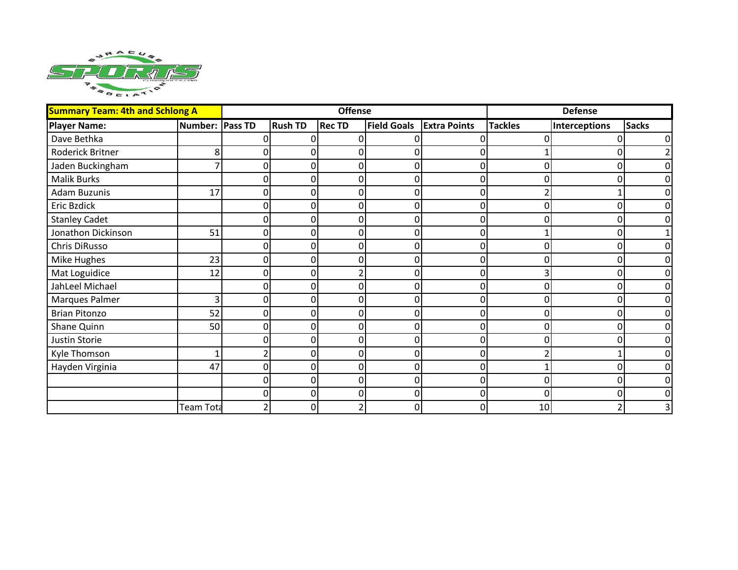

| <b>Summary Team: 4th and Schlong A</b> |                  |          |                | <b>Offense</b> |                    |                     |                | <b>Defense</b> |              |
|----------------------------------------|------------------|----------|----------------|----------------|--------------------|---------------------|----------------|----------------|--------------|
| <b>Player Name:</b>                    | Number: Pass TD  |          | <b>Rush TD</b> | <b>Rec TD</b>  | <b>Field Goals</b> | <b>Extra Points</b> | <b>Tackles</b> | Interceptions  | <b>Sacks</b> |
| Dave Bethka                            |                  |          |                | U              |                    |                     |                |                |              |
| Roderick Britner                       | 8                |          |                |                |                    |                     |                |                |              |
| Jaden Buckingham                       |                  | $\Omega$ | $\Omega$       | 0              | 0                  | $\Omega$            |                | ŋ              |              |
| <b>Malik Burks</b>                     |                  | 0        | $\Omega$       | 0              | 0                  | 0                   |                | 0              |              |
| Adam Buzunis                           | 17               | 0        |                |                |                    | 0                   |                |                |              |
| Eric Bzdick                            |                  | 0        | 0              | 0              | 0                  | 0                   |                | 0              |              |
| <b>Stanley Cadet</b>                   |                  | 0        | 0              | 0              | $\mathbf{0}$       | 0                   |                | 0              |              |
| Jonathon Dickinson                     | 51               | 0        | 0              | U              | $\Omega$           | 0                   |                | O              |              |
| Chris DiRusso                          |                  | $\Omega$ | 0              | 0              | 0                  | 0                   |                | 0              |              |
| Mike Hughes                            | 23               | 0        | 0              | 0              |                    | 0                   |                | 0              |              |
| Mat Loguidice                          | 12               | $\Omega$ | 0              |                | 0                  | $\Omega$            |                | 0              |              |
| JahLeel Michael                        |                  | 0        | $\Omega$       | 0              | 0                  | 0                   |                | $\Omega$       |              |
| Marques Palmer                         | 3                |          |                |                | 0                  | 0                   |                |                |              |
| <b>Brian Pitonzo</b>                   | 52               | 0        | O              | 0              | 0                  | 0                   |                | 0              |              |
| Shane Quinn                            | 50               | 0        | $\Omega$       | $\Omega$       | 0                  | 0                   |                | 0              |              |
| Justin Storie                          |                  | $\Omega$ | U              | 0              | 0                  | $\Omega$            |                |                |              |
| Kyle Thomson                           |                  |          | n              | O              | 0                  | 0                   |                |                |              |
| Hayden Virginia                        | 47               | 0        | 0              | 0              | $\mathbf 0$        | 0                   |                | 0              |              |
|                                        |                  | $\Omega$ | 0              | 0              | 0                  | 0                   |                | 0              |              |
|                                        |                  | $\Omega$ | 0              | $\Omega$       | 0                  | 0                   | ŋ              | 0              |              |
|                                        | <b>Team Tota</b> |          | 0              |                |                    | 0                   | 10             |                |              |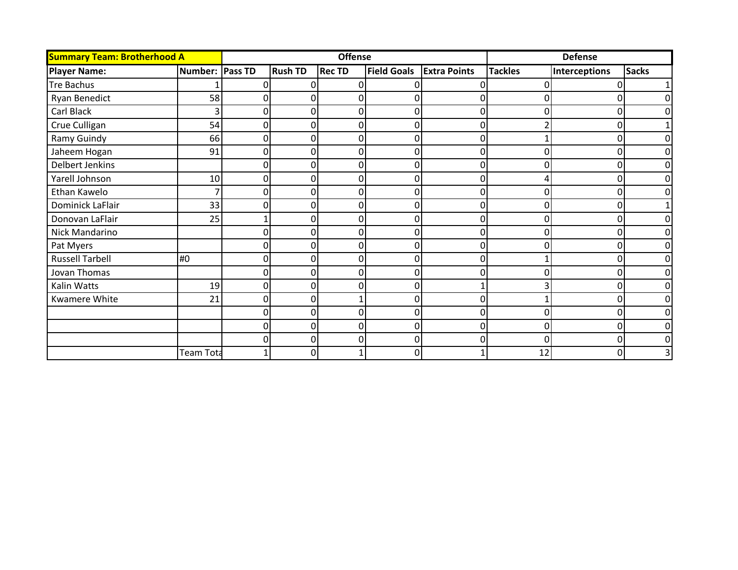| <b>Summary Team: Brotherhood A</b> |                  |                |                | <b>Offense</b> |                    |                     | <b>Defense</b> |                      |                |  |
|------------------------------------|------------------|----------------|----------------|----------------|--------------------|---------------------|----------------|----------------------|----------------|--|
| <b>Player Name:</b>                | Number: Pass TD  |                | <b>Rush TD</b> | <b>Rec TD</b>  | <b>Field Goals</b> | <b>Extra Points</b> | <b>Tackles</b> | <b>Interceptions</b> | <b>Sacks</b>   |  |
| <b>Tre Bachus</b>                  |                  |                |                |                |                    |                     |                |                      | $1\vert$       |  |
| Ryan Benedict                      | 58               | 0              |                |                |                    |                     |                |                      | $\overline{0}$ |  |
| Carl Black                         | 3                | 0              |                | 0              | 0                  | 0                   |                |                      | $\overline{0}$ |  |
| Crue Culligan                      | 54               | $\overline{0}$ | 0              | 0              | $\overline{0}$     | $\Omega$            |                | 0                    | $\mathbf{1}$   |  |
| Ramy Guindy                        | 66               | 0              |                |                |                    | Ω                   |                |                      | $\Omega$       |  |
| Jaheem Hogan                       | 91               | 0              | 0              | 0              | 0                  | 0                   |                |                      | $\overline{0}$ |  |
| Delbert Jenkins                    |                  | 0              |                | 0              | 0                  | 0                   |                |                      | $\overline{0}$ |  |
| Yarell Johnson                     | 10               | $\Omega$       | O              | O              | $\Omega$           | 0                   |                |                      | $\overline{0}$ |  |
| Ethan Kawelo                       | 7                | 0              | O              | 0              | 0                  | 0                   |                |                      | $\overline{0}$ |  |
| Dominick LaFlair                   | 33               | 0              |                |                |                    | Ω                   |                |                      | $1\vert$       |  |
| Donovan LaFlair                    | 25               |                |                | 0              | 0                  | 0                   |                |                      | $\overline{0}$ |  |
| Nick Mandarino                     |                  | U              | 0              | 0              | $\overline{0}$     | 0                   |                |                      | $\overline{0}$ |  |
| Pat Myers                          |                  | O              |                | O              | 0                  | 0                   |                |                      | $\overline{0}$ |  |
| <b>Russell Tarbell</b>             | #0               | 0              |                | Ω              | $\Omega$           | 0                   |                |                      | $\overline{0}$ |  |
| Jovan Thomas                       |                  | 0              |                | 0              | 0                  | 0                   |                |                      | $\overline{0}$ |  |
| Kalin Watts                        | 19               | $\Omega$       | ი              | 0              | 0                  |                     |                |                      | $\overline{0}$ |  |
| Kwamere White                      | 21               | $\overline{0}$ | $\Omega$       |                | $\overline{0}$     | $\overline{0}$      |                | O                    | $\overline{0}$ |  |
|                                    |                  | O              |                | n              | 0                  | Ω                   |                |                      | $\overline{0}$ |  |
|                                    |                  | 0              |                | O              | 0                  | 0                   |                |                      | $\overline{0}$ |  |
|                                    |                  | 0              | 0              | 0              | 0                  | 0                   |                |                      | $\overline{0}$ |  |
|                                    | <b>Team Tota</b> |                | ΩI             |                | 0                  |                     | 12             |                      | 3              |  |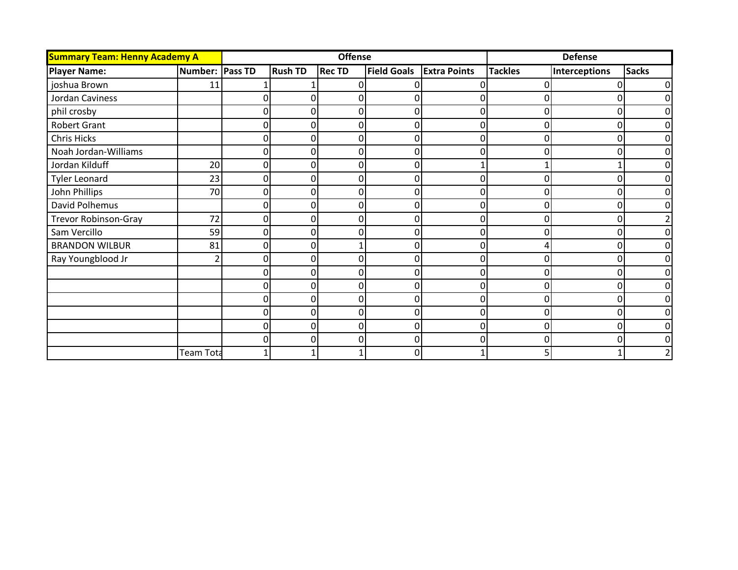| <b>Summary Team: Henny Academy A</b> |                  |                |                | <b>Offense</b> |                    |                     | <b>Defense</b> |               |                |  |
|--------------------------------------|------------------|----------------|----------------|----------------|--------------------|---------------------|----------------|---------------|----------------|--|
| <b>Player Name:</b>                  | Number: Pass TD  |                | <b>Rush TD</b> | <b>Rec TD</b>  | <b>Field Goals</b> | <b>Extra Points</b> | <b>Tackles</b> | Interceptions | <b>Sacks</b>   |  |
| joshua Brown                         | 11               |                |                | C              |                    |                     |                |               | 0              |  |
| Jordan Caviness                      |                  |                |                |                |                    |                     |                |               | $\overline{0}$ |  |
| phil crosby                          |                  | O              |                | 0              | 0                  | 0                   |                |               | $\overline{0}$ |  |
| Robert Grant                         |                  | $\Omega$       | 0              | 0              | $\Omega$           | 0                   | 0              | 0             | $\overline{0}$ |  |
| Chris Hicks                          |                  | O              |                | O              | 0                  | 0                   |                |               | $\overline{0}$ |  |
| Noah Jordan-Williams                 |                  | O              |                |                | 0                  | 0                   |                |               | $\overline{0}$ |  |
| Jordan Kilduff                       | 20               | 0              |                | 0              | 0                  |                     |                |               | $\overline{0}$ |  |
| <b>Tyler Leonard</b>                 | 23               | $\Omega$       | O              | 0              | $\Omega$           | 0                   |                |               | $\overline{0}$ |  |
| John Phillips                        | 70               | $\overline{0}$ | <sup>0</sup>   | 0              | 0                  | 0                   | O              |               | $\overline{0}$ |  |
| David Polhemus                       |                  | O              |                |                |                    |                     |                |               | $\overline{0}$ |  |
| Trevor Robinson-Gray                 | 72               | 0              | ∩              | 0              | 0                  | 0                   |                |               | $\overline{2}$ |  |
| Sam Vercillo                         | 59               | $\Omega$       | 0              | 0              | $\Omega$           | 0                   |                |               | $\overline{0}$ |  |
| <b>BRANDON WILBUR</b>                | 81               | $\Omega$       | n              |                | $\Omega$           | 0                   |                |               | $\overline{0}$ |  |
| Ray Youngblood Jr                    | $\overline{2}$   | 0              |                | Ω              | 0                  | 0                   |                |               | $\overline{0}$ |  |
|                                      |                  |                |                |                |                    | 0                   |                |               | $\overline{0}$ |  |
|                                      |                  | 0              | ი              | 0              | 0                  | 0                   |                |               | $\overline{0}$ |  |
|                                      |                  | $\Omega$       | $\Omega$       | 0              | $\Omega$           | $\Omega$            | ∩              | O             | $\overline{0}$ |  |
|                                      |                  | O              |                |                | 0                  | ი                   |                |               | $\overline{0}$ |  |
|                                      |                  | 0              |                | O              | 0                  | 0                   |                |               | $\overline{0}$ |  |
|                                      |                  | 0              | 0              | 0              | 0                  | 0                   |                |               | $\overline{0}$ |  |
|                                      | <b>Team Tota</b> |                |                |                | $\Omega$           |                     |                |               | $\overline{2}$ |  |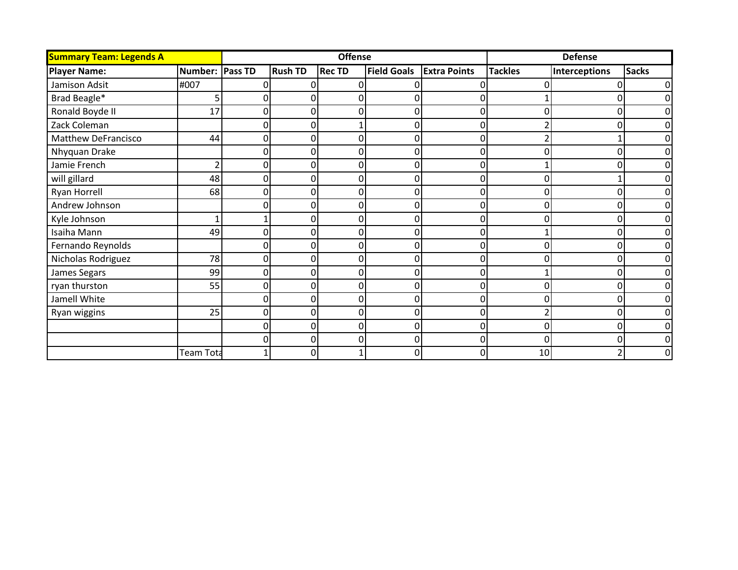| <b>Summary Team: Legends A</b> |                 |                |                | <b>Offense</b> |                    |                     |                | <b>Defense</b>       |                |
|--------------------------------|-----------------|----------------|----------------|----------------|--------------------|---------------------|----------------|----------------------|----------------|
| <b>Player Name:</b>            | Number: Pass TD |                | <b>Rush TD</b> | <b>Rec TD</b>  | <b>Field Goals</b> | <b>Extra Points</b> | <b>Tackles</b> | <b>Interceptions</b> | <b>Sacks</b>   |
| Jamison Adsit                  | #007            |                |                |                |                    |                     |                |                      | $\overline{0}$ |
| Brad Beagle*                   |                 |                |                |                |                    |                     |                |                      | $\overline{0}$ |
| Ronald Boyde II                | 17              | $\Omega$       |                | O              | 0                  | 0                   |                |                      | $\overline{0}$ |
| Zack Coleman                   |                 | 0              | ი              |                | $\Omega$           | $\Omega$            |                |                      | $\overline{0}$ |
| <b>Matthew DeFrancisco</b>     | 44              | 0              |                |                |                    |                     |                |                      | $\overline{0}$ |
| Nhyquan Drake                  |                 | O              |                | 0              | 0                  | 0                   |                |                      | $\overline{0}$ |
| Jamie French                   | 2               | 0              | 0              | 0              | 0                  | 0                   |                |                      | $\overline{0}$ |
| will gillard                   | 48              | $\overline{0}$ | O              | 0              | $\Omega$           | 0                   |                |                      | $\overline{0}$ |
| Ryan Horrell                   | 68              | 0              | n              | 0              | 0                  | 0                   |                |                      | $\overline{0}$ |
| Andrew Johnson                 |                 |                |                |                |                    |                     |                |                      | $\overline{0}$ |
| Kyle Johnson                   |                 |                |                | 0              | 0                  | 0                   |                |                      | $\overline{0}$ |
| Isaiha Mann                    | 49              | $\Omega$       | 0              | 0              | $\Omega$           | 0                   |                |                      | $\overline{0}$ |
| Fernando Reynolds              |                 | 0              | n              | 0              | $\Omega$           | 0                   |                |                      | $\overline{0}$ |
| Nicholas Rodriguez             | 78              | 0              |                | Ω              | 0                  | 0                   |                |                      | $\overline{0}$ |
| James Segars                   | 99              | 0              |                |                | 0                  | 0                   |                |                      | $\overline{0}$ |
| ryan thurston                  | 55              | 0              | ი              | 0              | 0                  | 0                   |                |                      | $\overline{0}$ |
| Jamell White                   |                 | $\overline{0}$ | $\Omega$       | 0              | $\Omega$           | $\overline{0}$      |                |                      | $\overline{0}$ |
| Ryan wiggins                   | 25              | 0              |                | O              | 0                  | 0                   |                |                      | $\overline{0}$ |
|                                |                 | 0              |                | O              | 0                  | 0                   |                |                      | $\overline{0}$ |
|                                |                 | 0              | በ              | 0              | 0                  | 0                   |                |                      | $\overline{0}$ |
|                                | Team Tota       |                | U              |                | $\Omega$           | 0                   | 10             |                      | $\overline{0}$ |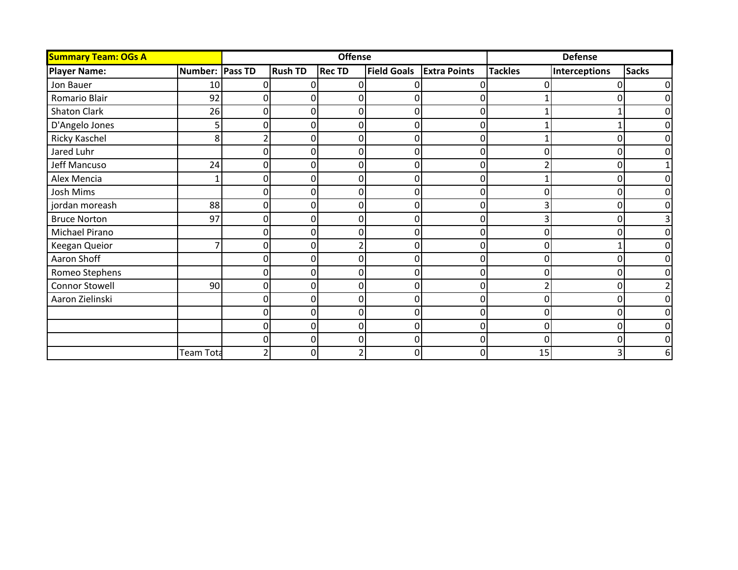| <b>Summary Team: OGs A</b> |                  |                |                | <b>Offense</b> |                    |                     |                | <b>Defense</b>       |                |
|----------------------------|------------------|----------------|----------------|----------------|--------------------|---------------------|----------------|----------------------|----------------|
| <b>Player Name:</b>        | Number: Pass TD  |                | <b>Rush TD</b> | <b>Rec TD</b>  | <b>Field Goals</b> | <b>Extra Points</b> | <b>Tackles</b> | <b>Interceptions</b> | <b>Sacks</b>   |
| Jon Bauer                  | 10               |                |                |                |                    |                     |                |                      | $\overline{0}$ |
| Romario Blair              | 92               | 0              |                |                |                    |                     |                |                      | $\overline{0}$ |
| <b>Shaton Clark</b>        | 26               | 0              | ი              | 0              | 0                  | 0                   |                |                      | $\overline{0}$ |
| D'Angelo Jones             | 5                | $\overline{0}$ | 0              | 0              | $\overline{0}$     | $\Omega$            |                |                      | $\overline{0}$ |
| Ricky Kaschel              | 8                |                |                |                |                    | Ω                   |                |                      | $\Omega$       |
| Jared Luhr                 |                  | 0              |                | 0              | 0                  | 0                   |                |                      | $\overline{0}$ |
| Jeff Mancuso               | 24               | 0              |                | 0              | 0                  | 0                   |                |                      | $\mathbf 1$    |
| Alex Mencia                | 1                | $\Omega$       | O              | O              | $\Omega$           | 0                   |                |                      | $\overline{0}$ |
| Josh Mims                  |                  | 0              | O              | 0              | 0                  | 0                   |                |                      | $\overline{0}$ |
| jordan moreash             | 88               | 0              |                |                |                    | 0                   |                |                      | $\overline{0}$ |
| <b>Bruce Norton</b>        | 97               | 0              |                | 0              | 0                  | 0                   |                |                      | 3              |
| Michael Pirano             |                  | 0              | 0              | O              | $\overline{0}$     | 0                   |                |                      | $\overline{0}$ |
| Keegan Queior              | 7                | $\overline{0}$ |                |                | 0                  | 0                   |                |                      | $\overline{0}$ |
| Aaron Shoff                |                  | 0              |                | Ω              | 0                  | 0                   |                |                      | $\overline{0}$ |
| Romeo Stephens             |                  | 0              |                | 0              | 0                  | 0                   |                |                      | $\overline{0}$ |
| <b>Connor Stowell</b>      | 90               | $\Omega$       | 0              | 0              | 0                  | 0                   |                |                      | $\overline{2}$ |
| Aaron Zielinski            |                  | $\overline{0}$ | $\Omega$       | 0              | $\overline{0}$     | $\overline{0}$      | ∩              | O                    | $\overline{0}$ |
|                            |                  | 0              |                | O              | 0                  | 0                   |                |                      | $\overline{0}$ |
|                            |                  | 0              |                | 0              | 0                  | 0                   |                |                      | $\overline{0}$ |
|                            |                  | 0              | 0              | 0              | 0                  | 0                   |                |                      | $\overline{0}$ |
|                            | <b>Team Tota</b> |                | ΩI             |                | 0                  | 0                   | 15             |                      | 6 <sup>1</sup> |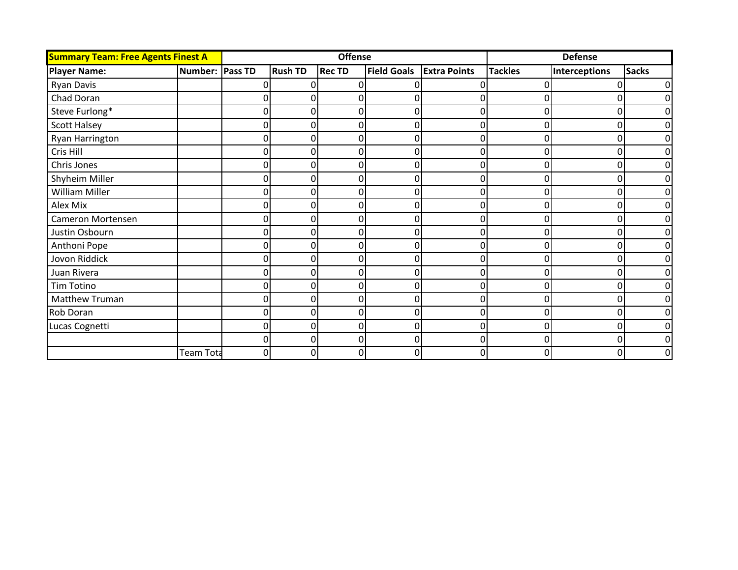| <b>Summary Team: Free Agents Finest A</b> |                 |                |                | <b>Offense</b> | <b>Defense</b>     |                     |                |                      |                |
|-------------------------------------------|-----------------|----------------|----------------|----------------|--------------------|---------------------|----------------|----------------------|----------------|
| <b>Player Name:</b>                       | Number: Pass TD |                | <b>Rush TD</b> | <b>Rec TD</b>  | <b>Field Goals</b> | <b>Extra Points</b> | <b>Tackles</b> | <b>Interceptions</b> | <b>Sacks</b>   |
| <b>Ryan Davis</b>                         |                 |                |                | C              |                    |                     |                |                      | $\overline{0}$ |
| Chad Doran                                |                 |                |                |                |                    |                     |                |                      | $\overline{0}$ |
| Steve Furlong*                            |                 | 0              |                | 0              | 0                  | 0                   |                |                      | $\overline{0}$ |
| <b>Scott Halsey</b>                       |                 | $\Omega$       | 0              | 0              | $\Omega$           | 0                   |                |                      | $\overline{0}$ |
| Ryan Harrington                           |                 | 0              |                | O              | 0                  | 0                   |                |                      | $\overline{0}$ |
| Cris Hill                                 |                 | 0              |                |                | 0                  | 0                   |                |                      | $\overline{0}$ |
| Chris Jones                               |                 | 0              |                | 0              | 0                  | 0                   |                |                      | $\overline{0}$ |
| Shyheim Miller                            |                 | 0              | 0              | 0              | 0                  | 0                   |                |                      | $\overline{0}$ |
| William Miller                            |                 | $\overline{0}$ | <sup>0</sup>   | 0              | $\mathbf 0$        | 0                   | O              | 0                    | $\overline{0}$ |
| Alex Mix                                  |                 |                |                |                |                    | Ω                   |                |                      | $\overline{0}$ |
| Cameron Mortensen                         |                 | O              |                | 0              | 0                  | 0                   |                |                      | $\overline{0}$ |
| Justin Osbourn                            |                 | $\Omega$       | 0              | 0              | 0                  | 0                   |                |                      | $\overline{0}$ |
| Anthoni Pope                              |                 | $\Omega$       | U              | 0              | $\Omega$           | 0                   |                |                      | $\overline{0}$ |
| Jovon Riddick                             |                 | 0              |                | O              | 0                  | $\mathbf{0}$        |                |                      | $\overline{0}$ |
| Juan Rivera                               |                 | 0              |                |                | 0                  | 0                   |                |                      | $\overline{0}$ |
| Tim Totino                                |                 | 0              |                | 0              | 0                  | 0                   |                |                      | $\overline{0}$ |
| <b>Matthew Truman</b>                     |                 | $\Omega$       | $\Omega$       | 0              | $\Omega$           | $\Omega$            | $\Omega$       |                      | $\overline{0}$ |
| Rob Doran                                 |                 | 0              |                | O              | 0                  | 0                   |                |                      | $\overline{0}$ |
| Lucas Cognetti                            |                 | 0              |                | O              | 0                  | 0                   |                |                      | $\overline{0}$ |
|                                           |                 | 0              | ი              | 0              | 0                  | 0                   |                |                      | $\overline{0}$ |
|                                           | Team Tota       | $\overline{0}$ | ΩI             | 0              | $\Omega$           | Ωl                  |                | O                    | $\overline{0}$ |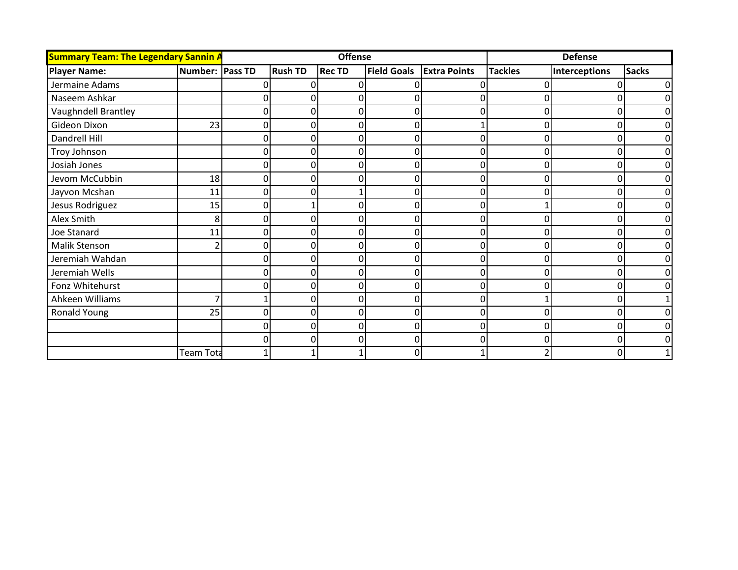| <b>Summary Team: The Legendary Sannin A</b> |                  |                |                | <b>Offense</b> |                    |                     | <b>Defense</b> |                      |                |  |
|---------------------------------------------|------------------|----------------|----------------|----------------|--------------------|---------------------|----------------|----------------------|----------------|--|
| <b>Player Name:</b>                         | Number: Pass TD  |                | <b>Rush TD</b> | <b>Rec TD</b>  | <b>Field Goals</b> | <b>Extra Points</b> | <b>Tackles</b> | <b>Interceptions</b> | <b>Sacks</b>   |  |
| Jermaine Adams                              |                  |                |                | ſ              |                    |                     |                |                      | $\overline{0}$ |  |
| Naseem Ashkar                               |                  |                |                |                |                    |                     |                |                      | $\overline{0}$ |  |
| Vaughndell Brantley                         |                  | 0              |                | 0              |                    | 0                   |                |                      | $\overline{0}$ |  |
| Gideon Dixon                                | 23               | $\overline{0}$ | 0              | 0              | 0                  |                     |                |                      | $\overline{0}$ |  |
| Dandrell Hill                               |                  | 0              |                | በ              | $\Omega$           | 0                   |                |                      | $\overline{0}$ |  |
| Troy Johnson                                |                  | n              |                | በ              | $\Omega$           | 0                   |                |                      | $\overline{0}$ |  |
| Josiah Jones                                |                  | 0              |                | 0              |                    | 0                   |                |                      | $\overline{0}$ |  |
| Jevom McCubbin                              | 18               | $\Omega$       |                | በ              | $\Omega$           | 0                   |                |                      | $\overline{0}$ |  |
| Jayvon Mcshan                               | 11               | $\overline{0}$ | U              |                | 0                  | 0                   |                |                      | $\overline{0}$ |  |
| Jesus Rodriguez                             | 15               | 0              |                |                |                    | Ω                   |                |                      | $\overline{0}$ |  |
| Alex Smith                                  | 8                | 0              |                | ი              | O                  | 0                   |                |                      | $\overline{0}$ |  |
| <b>Joe Stanard</b>                          | 11               | $\Omega$       |                | 0              | 0                  | 0                   |                |                      | $\overline{0}$ |  |
| Malik Stenson                               | 2                | $\Omega$       | n              | 0              | $\Omega$           | 0                   |                |                      | $\overline{0}$ |  |
| Jeremiah Wahdan                             |                  | 0              |                | በ              | 0                  | 0                   |                |                      | $\overline{0}$ |  |
| Jeremiah Wells                              |                  | n              |                |                |                    | 0                   |                |                      | $\overline{0}$ |  |
| Fonz Whitehurst                             |                  | 0              |                | 0              | 0                  | 0                   |                |                      | $\overline{0}$ |  |
| Ahkeen Williams                             | 7                |                | ΩI             | $\Omega$       | $\Omega$           | $\Omega$            |                |                      | $\mathbf{1}$   |  |
| Ronald Young                                | 25               | $\Omega$       |                | በ              | 0                  | 0                   |                |                      | $\overline{0}$ |  |
|                                             |                  | 0              |                | በ              | $\Omega$           | 0                   |                |                      | $\overline{0}$ |  |
|                                             |                  | 0              |                | 0              | 0                  | 0                   |                |                      | $\overline{0}$ |  |
|                                             | <b>Team Tota</b> |                |                |                | $\Omega$           |                     |                |                      | $1\vert$       |  |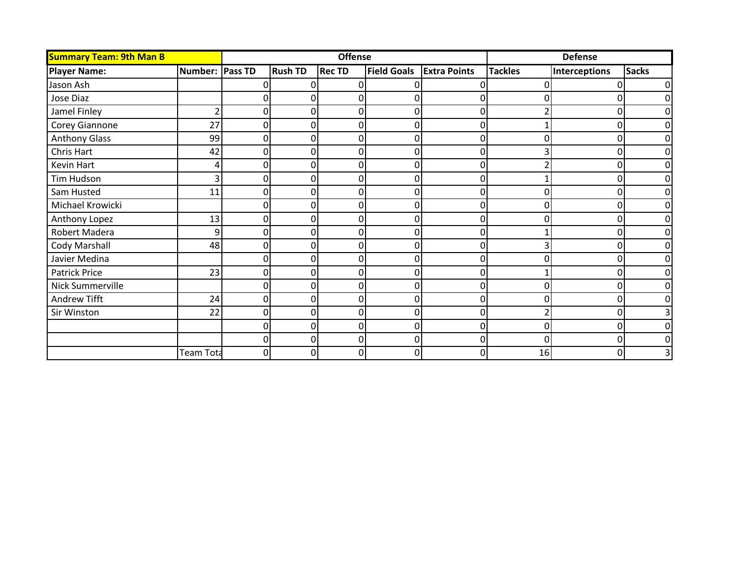| <b>Summary Team: 9th Man B</b> |                  |                |                | <b>Offense</b> |                    |                     |                | <b>Defense</b>       |                |
|--------------------------------|------------------|----------------|----------------|----------------|--------------------|---------------------|----------------|----------------------|----------------|
| <b>Player Name:</b>            | Number: Pass TD  |                | <b>Rush TD</b> | <b>Rec TD</b>  | <b>Field Goals</b> | <b>Extra Points</b> | <b>Tackles</b> | <b>Interceptions</b> | <b>Sacks</b>   |
| Jason Ash                      |                  |                |                | C              |                    |                     |                |                      | $\overline{0}$ |
| Jose Diaz                      |                  |                |                |                |                    |                     |                |                      | $\overline{0}$ |
| Jamel Finley                   | 2                | $\Omega$       | 0              | 0              | 0                  | 0                   |                |                      | $\overline{0}$ |
| Corey Giannone                 | 27               | $\overline{0}$ | 0              | 0              | $\overline{0}$     | $\Omega$            |                | 0                    | $\overline{0}$ |
| <b>Anthony Glass</b>           | 99               | 0              |                |                |                    | Ω                   |                |                      | $\overline{0}$ |
| Chris Hart                     | 42               | 0              | ი              | 0              | 0                  | 0                   |                |                      | $\Omega$       |
| Kevin Hart                     | 4                | 0              | 0              | 0              | $\mathbf{0}$       | 0                   |                |                      | $\overline{0}$ |
| Tim Hudson                     | 3                | $\Omega$       | O              | 0              | $\Omega$           | 0                   |                |                      | $\overline{0}$ |
| Sam Husted                     | 11               | $\overline{0}$ | <sup>0</sup>   | 0              | 0                  | 0                   |                | O                    | $\overline{0}$ |
| Michael Krowicki               |                  | 0              |                |                | $\Omega$           | Ω                   |                |                      | $\overline{0}$ |
| Anthony Lopez                  | 13               | 0              | ი              | 0              | 0                  | 0                   |                |                      | $\overline{0}$ |
| Robert Madera                  | 9                | $\overline{0}$ | 0              | 0              | $\Omega$           | $\Omega$            |                |                      | $\overline{0}$ |
| Cody Marshall                  | 48               | $\overline{0}$ | n              | 0              | $\Omega$           | 0                   |                |                      | $\overline{0}$ |
| Javier Medina                  |                  | 0              | n              | 0              | 0                  | 0                   |                |                      | $\overline{0}$ |
| <b>Patrick Price</b>           | 23               | 0              |                |                | 0                  | 0                   |                |                      | $\overline{0}$ |
| Nick Summerville               |                  | 0              | 0              | 0              | 0                  | 0                   |                |                      | $\overline{0}$ |
| Andrew Tifft                   | 24               | $\overline{0}$ | ΩI             | 0              | $\Omega$           | $\Omega$            | $\Omega$       |                      | $\overline{0}$ |
| Sir Winston                    | 22               | $\overline{0}$ | n              | O              | 0                  | 0                   |                |                      | 3 <sup>1</sup> |
|                                |                  | 0              |                | O              | 0                  | 0                   |                |                      | $\overline{0}$ |
|                                |                  | 0              | 0              | 0              | 0                  | 0                   |                |                      | $\overline{0}$ |
|                                | <b>Team Tota</b> | $\overline{0}$ | ΩI             | 0              | 0                  | $\overline{0}$      | 16             | $\Omega$             | 3              |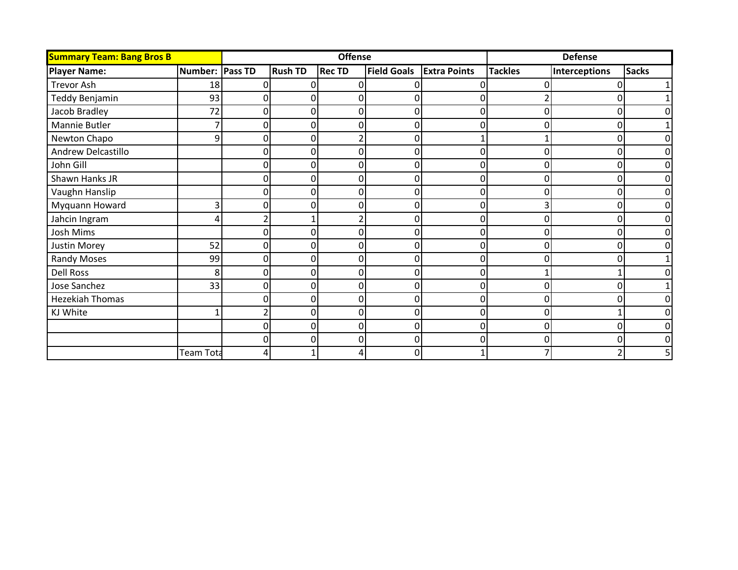| <b>Summary Team: Bang Bros B</b> |                 |          |                | <b>Offense</b> |                    |                     | <b>Defense</b> |                      |                |  |
|----------------------------------|-----------------|----------|----------------|----------------|--------------------|---------------------|----------------|----------------------|----------------|--|
| <b>Player Name:</b>              | Number: Pass TD |          | <b>Rush TD</b> | <b>Rec TD</b>  | <b>Field Goals</b> | <b>Extra Points</b> | <b>Tackles</b> | <b>Interceptions</b> | <b>Sacks</b>   |  |
| Trevor Ash                       | 18              |          |                | በ              |                    |                     |                |                      |                |  |
| Teddy Benjamin                   | 93              | 0        |                |                |                    |                     |                |                      |                |  |
| Jacob Bradley                    | 72              | $\Omega$ |                | 0              |                    | 0                   |                |                      | $\overline{0}$ |  |
| Mannie Butler                    | 7               | 0        | 0              | 0              | $\mathbf 0$        | $\Omega$            |                | 0                    | 1              |  |
| Newton Chapo                     | 9               | 0        |                |                |                    |                     |                |                      | $\overline{0}$ |  |
| Andrew Delcastillo               |                 | 0        |                | 0              | 0                  | 0                   |                |                      | $\overline{0}$ |  |
| John Gill                        |                 | 0        |                | 0              |                    | 0                   |                |                      | $\overline{0}$ |  |
| Shawn Hanks JR                   |                 | 0        |                | 0              | $\Omega$           | 0                   |                |                      | $\overline{0}$ |  |
| Vaughn Hanslip                   |                 | 0        | ŋ              | 0              | 0                  | 0                   |                |                      | $\overline{0}$ |  |
| Myquann Howard                   | 3               | O        |                |                |                    | 0                   |                |                      | $\overline{0}$ |  |
| Jahcin Ingram                    |                 |          |                |                | 0                  | 0                   |                |                      | $\overline{0}$ |  |
| Josh Mims                        |                 | 0        |                | 0              | 0                  | 0                   |                |                      | $\overline{0}$ |  |
| Justin Morey                     | 52              | $\Omega$ | n              | 0              | 0                  | 0                   |                |                      | $\overline{0}$ |  |
| <b>Randy Moses</b>               | 99              | 0        |                | 0              | 0                  | 0                   |                |                      | 1              |  |
| <b>Dell Ross</b>                 | 8               | 0        |                | 0              |                    | 0                   |                |                      | $\overline{0}$ |  |
| Jose Sanchez                     | 33              | 0        | U              | 0              | 0                  | 0                   |                |                      | $\mathbf{1}$   |  |
| <b>Hezekiah Thomas</b>           |                 | $\Omega$ | 0              | $\Omega$       | $\Omega$           | 0                   |                |                      | $\overline{0}$ |  |
| KJ White                         |                 |          |                | ი              | 0                  | 0                   |                |                      | $\overline{0}$ |  |
|                                  |                 | $\Omega$ |                | ი              | 0                  | 0                   |                |                      | $\overline{0}$ |  |
|                                  |                 | 0        |                | 0              | 0                  | 0                   |                |                      | $\overline{0}$ |  |
|                                  | Team Tota       | 4        |                | Δ              | $\Omega$           |                     |                |                      | 5              |  |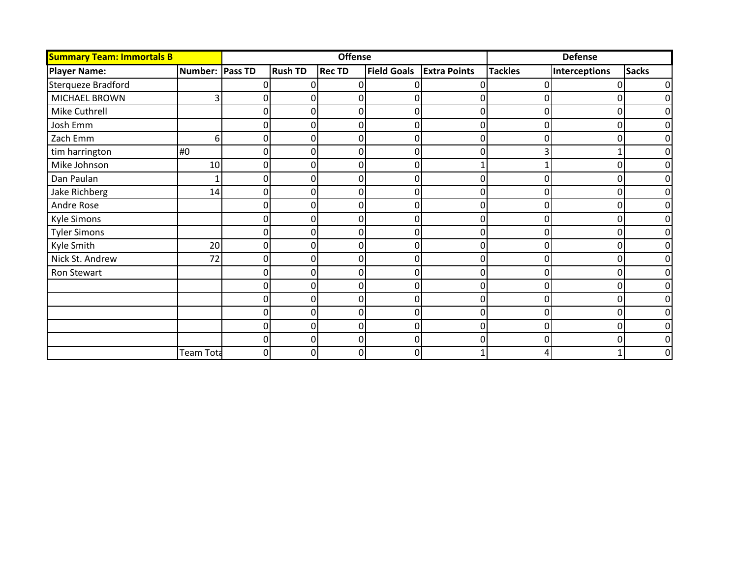| <b>Summary Team: Immortals B</b> |                 |                |                | <b>Offense</b> |                    | <b>Defense</b>      |                |                      |                |
|----------------------------------|-----------------|----------------|----------------|----------------|--------------------|---------------------|----------------|----------------------|----------------|
| <b>Player Name:</b>              | Number: Pass TD |                | <b>Rush TD</b> | <b>Rec TD</b>  | <b>Field Goals</b> | <b>Extra Points</b> | <b>Tackles</b> | <b>Interceptions</b> | <b>Sacks</b>   |
| Sterqueze Bradford               |                 |                |                | C              |                    |                     |                |                      | $\overline{0}$ |
| MICHAEL BROWN                    | 3               |                |                |                |                    |                     |                |                      | $\overline{0}$ |
| Mike Cuthrell                    |                 | 0              | 0              | 0              | 0                  | 0                   |                |                      | $\overline{0}$ |
| Josh Emm                         |                 | $\overline{0}$ | $\Omega$       | 0              | $\overline{0}$     | $\Omega$            | $\Omega$       | 0                    | $\overline{0}$ |
| Zach Emm                         | 6               | 0              |                |                |                    | O                   |                |                      | $\overline{0}$ |
| tim harrington                   | #0              | 0              | ი              | 0              | 0                  | 0                   |                |                      | $\Omega$       |
| Mike Johnson                     | 10              | 0              | 0              | 0              | 0                  |                     |                |                      | $\overline{0}$ |
| Dan Paulan                       |                 | $\Omega$       | O              | 0              | $\Omega$           | 0                   |                |                      | $\overline{0}$ |
| Jake Richberg                    | 14              | $\overline{0}$ | <sup>0</sup>   | 0              | 0                  | 0                   | O              |                      | $\overline{0}$ |
| Andre Rose                       |                 | 0              |                |                | 0                  | Ω                   |                |                      | $\overline{0}$ |
| Kyle Simons                      |                 | 0              | ∩              | 0              | 0                  | 0                   |                |                      | $\overline{0}$ |
| <b>Tyler Simons</b>              |                 | $\Omega$       | 0              | 0              | $\overline{0}$     | $\Omega$            |                |                      | $\overline{0}$ |
| Kyle Smith                       | 20              | $\overline{0}$ | n              | 0              | $\Omega$           | 0                   |                |                      | $\overline{0}$ |
| Nick St. Andrew                  | 72              | 0              | n              | 0              | 0                  | 0                   |                |                      | $\overline{0}$ |
| Ron Stewart                      |                 | 0              |                |                | 0                  | 0                   |                |                      | $\overline{0}$ |
|                                  |                 | 0              | ი              | 0              | 0                  | 0                   |                |                      | $\overline{0}$ |
|                                  |                 | $\Omega$       | $\Omega$       | 0              | $\Omega$           | $\Omega$            | $\Omega$       |                      | $\overline{0}$ |
|                                  |                 | 0              |                | O              | $\Omega$           | 0                   |                |                      | 0              |
|                                  |                 | 0              |                | O              | 0                  | 0                   |                |                      | $\overline{0}$ |
|                                  |                 | 0              | 0              | 0              | 0                  | 0                   |                |                      | $\overline{0}$ |
|                                  | Team Tota       | $\overline{0}$ | ΩI             | 0              | 0                  |                     |                |                      | $\overline{0}$ |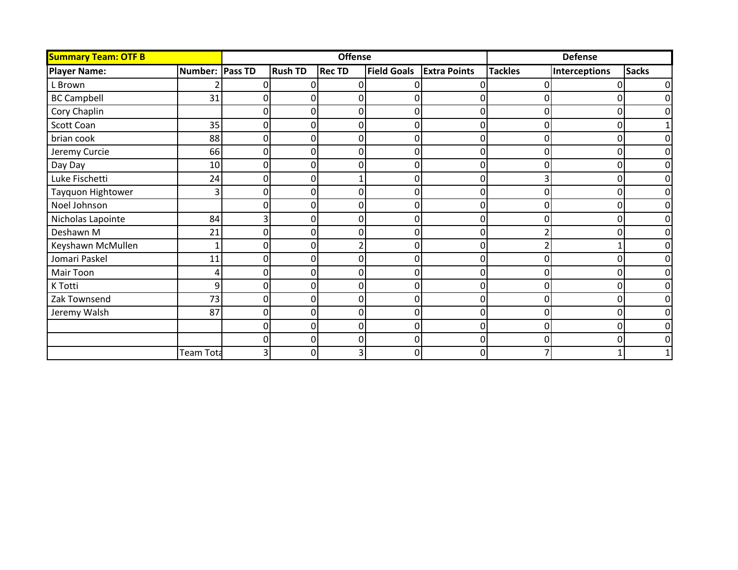| <b>Summary Team: OTF B</b> |                  |                |                | <b>Offense</b> |                    | <b>Defense</b>      |                |                      |                |
|----------------------------|------------------|----------------|----------------|----------------|--------------------|---------------------|----------------|----------------------|----------------|
| <b>Player Name:</b>        | Number: Pass TD  |                | <b>Rush TD</b> | <b>Rec TD</b>  | <b>Field Goals</b> | <b>Extra Points</b> | <b>Tackles</b> | <b>Interceptions</b> | <b>Sacks</b>   |
| L Brown                    |                  |                |                | C              |                    |                     |                |                      | $\overline{0}$ |
| <b>BC Campbell</b>         | 31               | 0              |                |                |                    |                     |                |                      | $\overline{0}$ |
| Cory Chaplin               |                  | 0              | ი              | 0              | $\Omega$           | 0                   |                |                      | $\overline{0}$ |
| Scott Coan                 | 35               | $\overline{0}$ | 0              | 0              | $\overline{0}$     | $\Omega$            | $\Omega$       | 0                    | $\mathbf{1}$   |
| brian cook                 | 88               | 0              |                |                |                    | Ω                   |                |                      | $\overline{0}$ |
| Jeremy Curcie              | 66               | 0              | 0              | 0              | 0                  | 0                   |                |                      | $\overline{0}$ |
| Day Day                    | 10               | 0              | 0              | 0              | 0                  | 0                   |                |                      | $\overline{0}$ |
| Luke Fischetti             | 24               | $\Omega$       | <sup>0</sup>   |                | $\Omega$           | 0                   |                |                      | $\overline{0}$ |
| Tayquon Hightower          | 3                | $\overline{0}$ | <sup>0</sup>   | 0              | 0                  | 0                   |                |                      | $\overline{0}$ |
| Noel Johnson               |                  |                |                |                | 0                  | 0                   |                |                      | $\overline{0}$ |
| Nicholas Lapointe          | 84               |                | U              | 0              | 0                  | 0                   |                |                      | $\overline{0}$ |
| Deshawn M                  | 21               | $\overline{0}$ | 0              | 0              | $\Omega$           | $\Omega$            |                |                      | $\overline{0}$ |
| Keyshawn McMullen          | 1 <sub>1</sub>   | $\overline{0}$ | n              |                | $\Omega$           | 0                   |                |                      | $\overline{0}$ |
| Jomari Paskel              | 11               | 0              | n              | 0              | 0                  | 0                   |                |                      | $\overline{0}$ |
| Mair Toon                  | 4                | 0              |                |                | 0                  | 0                   |                |                      | $\overline{0}$ |
| K Totti                    | 9                | $\Omega$       | 0              | 0              | 0                  | 0                   |                |                      | $\overline{0}$ |
| Zak Townsend               | 73               | $\overline{0}$ | ΩI             | 0              | $\Omega$           | $\Omega$            | $\Omega$       |                      | $\overline{0}$ |
| Jeremy Walsh               | 87               | $\overline{0}$ | n              | O              | 0                  | 0                   |                |                      | $\overline{0}$ |
|                            |                  | $\Omega$       |                | Ω              | 0                  | 0                   |                |                      | $\overline{0}$ |
|                            |                  | 0              | 0              | 0              | 0                  | 0                   |                |                      | $\overline{0}$ |
|                            | <b>Team Tota</b> |                | ΩI             | 3              | $\Omega$           | Ωl                  |                |                      | $1\vert$       |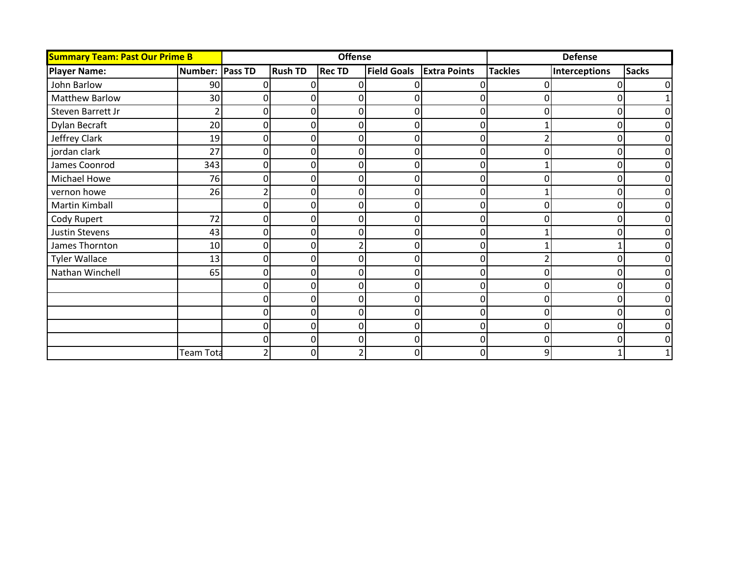| <b>Summary Team: Past Our Prime B</b> |                  |                |                | <b>Offense</b> |                    |                     | <b>Defense</b> |                      |                |  |
|---------------------------------------|------------------|----------------|----------------|----------------|--------------------|---------------------|----------------|----------------------|----------------|--|
| <b>Player Name:</b>                   | Number: Pass TD  |                | <b>Rush TD</b> | <b>Rec TD</b>  | <b>Field Goals</b> | <b>Extra Points</b> | <b>Tackles</b> | <b>Interceptions</b> | <b>Sacks</b>   |  |
| John Barlow                           | 90               |                |                |                |                    |                     |                |                      | $\overline{0}$ |  |
| <b>Matthew Barlow</b>                 | 30               | 0              |                |                |                    |                     |                |                      | $1\vert$       |  |
| Steven Barrett Jr                     | 2                | $\Omega$       | ი              | 0              | 0                  | 0                   |                |                      | $\overline{0}$ |  |
| Dylan Becraft                         | 20               | $\overline{0}$ | $\Omega$       | 0              | $\overline{0}$     | $\Omega$            |                | 0                    | $\overline{0}$ |  |
| Jeffrey Clark                         | 19               | 0              |                |                |                    | O                   |                |                      | $\overline{0}$ |  |
| jordan clark                          | 27               | 0              |                | ი              | 0                  | 0                   |                |                      | $\Omega$       |  |
| James Coonrod                         | 343              | 0              |                | 0              | 0                  | 0                   |                |                      | $\overline{0}$ |  |
| Michael Howe                          | 76               | $\Omega$       | O              | 0              | $\Omega$           | 0                   |                |                      | $\overline{0}$ |  |
| vernon howe                           | 26               | า              | <sup>0</sup>   | 0              | 0                  | 0                   |                |                      | $\overline{0}$ |  |
| <b>Martin Kimball</b>                 |                  |                |                |                |                    |                     |                |                      | $\overline{0}$ |  |
| Cody Rupert                           | 72               | 0              | n              | 0              | 0                  | 0                   |                |                      | $\overline{0}$ |  |
| <b>Justin Stevens</b>                 | 43               | $\overline{0}$ | $\mathbf{0}$   | 0              | $\Omega$           | $\Omega$            |                |                      | $\overline{0}$ |  |
| James Thornton                        | 10               | $\overline{0}$ | n              |                | $\Omega$           | 0                   |                |                      | $\overline{0}$ |  |
| <b>Tyler Wallace</b>                  | 13               | 0              | n              | 0              | 0                  | 0                   |                |                      | $\Omega$       |  |
| Nathan Winchell                       | 65               | 0              |                |                |                    | 0                   |                |                      | $\overline{0}$ |  |
|                                       |                  | 0              |                | 0              | 0                  | 0                   |                |                      | $\overline{0}$ |  |
|                                       |                  | $\Omega$       | ΩI             | 0              | $\Omega$           | $\Omega$            | $\Omega$       |                      | $\overline{0}$ |  |
|                                       |                  | 0              |                | O              | 0                  | 0                   |                |                      | 0              |  |
|                                       |                  | 0              |                | O              | 0                  | 0                   |                |                      | $\overline{0}$ |  |
|                                       |                  | 0              | 0              | 0              | 0                  | 0                   |                |                      | $\overline{0}$ |  |
|                                       | <b>Team Tota</b> |                | ΩI             |                | 0                  | Ωl                  |                |                      | $1\vert$       |  |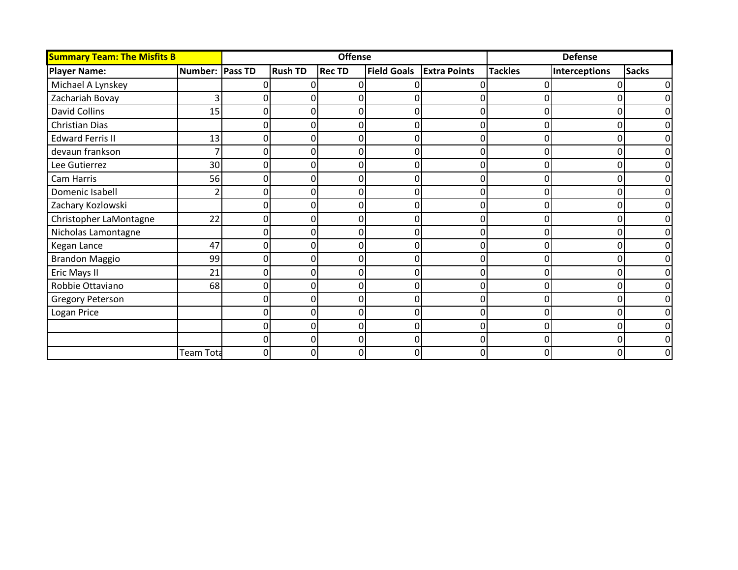| <b>Summary Team: The Misfits B</b> |                 | <b>Offense</b> |                |               |                    |                     | <b>Defense</b> |                      |                |
|------------------------------------|-----------------|----------------|----------------|---------------|--------------------|---------------------|----------------|----------------------|----------------|
| <b>Player Name:</b>                | Number: Pass TD |                | <b>Rush TD</b> | <b>Rec TD</b> | <b>Field Goals</b> | <b>Extra Points</b> | <b>Tackles</b> | <b>Interceptions</b> | <b>Sacks</b>   |
| Michael A Lynskey                  |                 |                |                |               |                    |                     |                |                      | 0              |
| Zachariah Bovay                    |                 |                |                |               |                    |                     |                |                      | $\overline{0}$ |
| <b>David Collins</b>               | 15              | 0              |                | 0             |                    | 0                   |                |                      | $\overline{0}$ |
| Christian Dias                     |                 | 0              | 0              | 0             | 0                  | $\Omega$            |                | O                    | $\overline{0}$ |
| <b>Edward Ferris II</b>            | 13              | 0              |                |               |                    | U                   |                |                      | $\overline{0}$ |
| devaun frankson                    |                 | 0              |                | U             |                    | 0                   |                |                      | $\overline{0}$ |
| Lee Gutierrez                      | 30 <sup>1</sup> | 0              |                | 0             |                    | 0                   |                |                      | $\overline{0}$ |
| Cam Harris                         | 56              | $\Omega$       |                | U             | 0                  | 0                   |                |                      | $\overline{0}$ |
| Domenic Isabell                    |                 | 0              |                | 0             | 0                  | 0                   |                |                      | $\overline{0}$ |
| Zachary Kozlowski                  |                 |                |                |               |                    | O                   |                |                      | $\overline{0}$ |
| Christopher LaMontagne             | 22              | $\mathbf{0}$   |                | 0             | 0                  | 0                   |                |                      | $\overline{0}$ |
| Nicholas Lamontagne                |                 | 0              |                | 0             | 0                  | 0                   |                |                      | $\overline{0}$ |
| Kegan Lance                        | 47              | 0              |                | U             | $\Omega$           | 0                   |                |                      | $\overline{0}$ |
| <b>Brandon Maggio</b>              | 99              | $\Omega$       |                | 0             | $\Omega$           | 0                   |                |                      | $\overline{0}$ |
| Eric Mays II                       | 21              | 0              |                |               |                    | 0                   |                |                      | $\overline{0}$ |
| Robbie Ottaviano                   | 68              | 0              |                | 0             | 0                  | 0                   |                |                      | $\overline{0}$ |
| <b>Gregory Peterson</b>            |                 | $\Omega$       | 0              | 0             | 0                  | $\overline{0}$      |                |                      | $\overline{0}$ |
| Logan Price                        |                 | 0              |                | በ             | 0                  | 0                   |                |                      | $\overline{0}$ |
|                                    |                 | 0              |                | በ             | $\Omega$           | 0                   |                |                      | $\overline{0}$ |
|                                    |                 | 0              |                | 0             | 0                  | 0                   |                |                      | $\overline{0}$ |
|                                    | Team Tota       | $\Omega$       |                | 0             | $\Omega$           | $\Omega$            |                |                      | $\overline{0}$ |